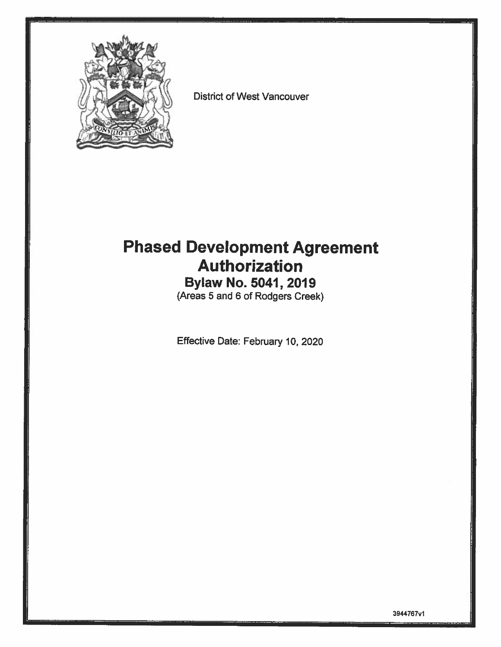

District of West Vancouver

# Phased Development Agreement Authorization

Bylaw No. 5041, 2019 (Areas 5 and 6 of Rodgers Creek)

Effective Date: February 10, 2020

3944767v1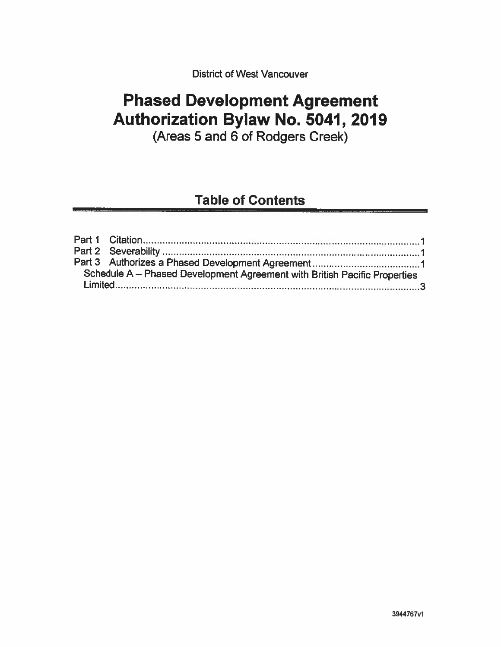District of West Vancouver

# Phased Development Agreement Authorization Bylaw No. 5041, 2019

(Areas 5 and 6 of Rodgers Creek)

# Table of Contents

| Schedule A - Phased Development Agreement with British Pacific Properties |
|---------------------------------------------------------------------------|
|                                                                           |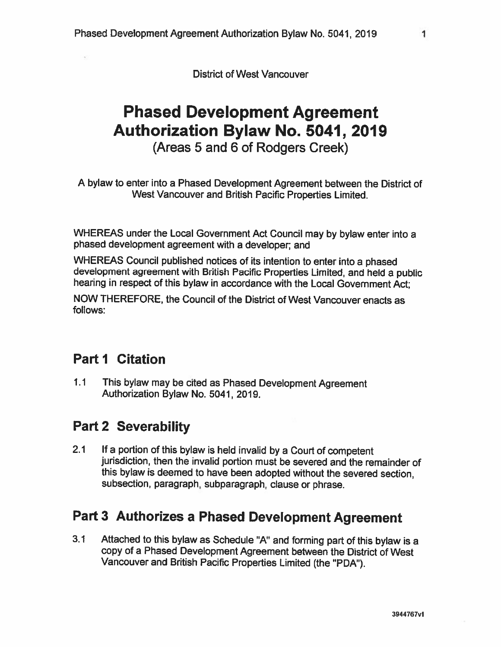District of West Vancouver

# Phased Development Agreement Authorization Bylaw No. 5041, 2019 (Areas 5 and 6 of Rodgers Creek)

<sup>A</sup> bylaw to enter into <sup>a</sup> Phased Development Agreement between the District of West Vancouver and British Pacific Properties Limited.

WHEREAS under the Local Government Act Council may by bylaw enter into <sup>a</sup> <sup>p</sup>hased development agreement with <sup>a</sup> developer; and

WHEREAS Council published notices of its intention to enter into <sup>a</sup> <sup>p</sup>hased development agreement with British Pacific Properties Limited, and held <sup>a</sup> public hearing in respect of this bylaw in accordance with the Local Government Act;

NOW THEREFORE, the Council of the District of West Vancouver enacts as follows:

## Part I Citation

1.1 This bylaw may be cited as Phased Development Agreement Authorization Bylaw No. 5041, 2019.

# Part 2 Severability

2.1 If <sup>a</sup> portion of this bylaw is held invalid by <sup>a</sup> Court of competent jurisdiction, then the invalid portion must be severed and the remainder of this bylaw is deemed to have been adopted without the severed section, subsection, paragraph, subparagraph, clause or <sup>p</sup>hrase.

## Part <sup>3</sup> Authorizes <sup>a</sup> Phased Development Agreement

3.1 Attached to this bylaw as Schedule "A" and forming part of this bylaw is <sup>a</sup> copy of <sup>a</sup> Phased Development Agreement between the District of West Vancouver and British Pacific Properties Limited (the "PDA").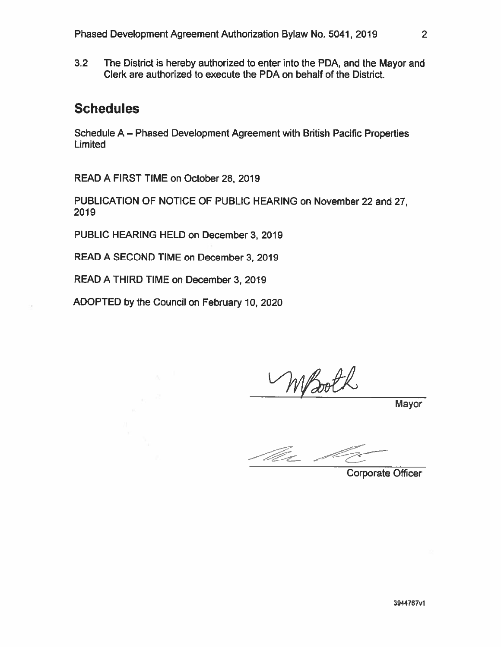3.2 The District is hereby authorized to enter into the PDA, and the Mayor and Clerk are authorized to execute the PDA on behalf of the District.

### **Schedules**

Schedule A — Phased Development Agreement with British Pacific Properties **Limited** 

READ A FIRST TIME on October 28, 2019

PUBLICATION OF NOTICE OF PUBLIC HEARING on November 22 and 27, 2019

PUBLIC HEARING HELD on December 3, 2019

READ A SECOND TIME on December 3, 2019

READ A THIRD TIME on December 3, 2019

ADOPTED by the Council on February 10, 2020

NSooth

Mayor

- The c

Corporate Officer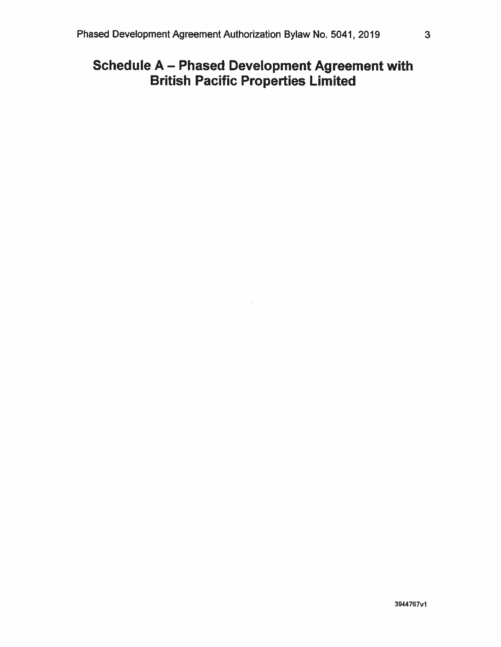# Schedule A — Phased Development Agreement with British Pacific Properties Limited

85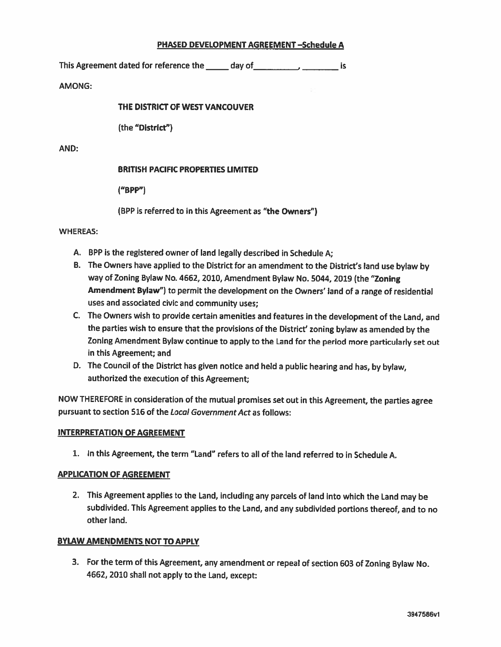#### PHASED DEVELOPMENT AGREEMENT —Schedule A

This Agreement dated for reference the \_\_\_\_\_\_ day of\_\_\_\_\_\_\_\_\_\_\_\_\_\_\_\_\_\_\_\_\_\_\_\_ is

AMONG:

#### THE DISTRICT OF WEST VANCOUVER

(the "District")

AND:

#### BRITISH PACIFIC PROPERTIES LIMITED

("BPP")

(BPP is referred to in this Agreement as "the Owners")

WHEREAS:

- A. BPP is the registered owner of land legally described in Schedule A;
- B. The Owners have applied to the District for an amendment to the District's land use bylaw by way of Zoning Bylaw No.4662, 2010, Amendment Bylaw No. 5044, <sup>2019</sup> (the "Zoning Amendment Bylaw") to permit the development on the Owners' land of <sup>a</sup> range of residential uses and associated civic and community uses;
- C. The Owners wish to provide certain amenities and features in the development of the Land, and the parties wish to ensure that the provisions of the District' zoning bylaw as amended by the Zoning Amendment Bylaw continue to apply to the Land for the period more particularly set out in this Agreement; and
- 0. The Council of the District has <sup>g</sup>iven notice and held <sup>a</sup> public hearing and has, by bylaw, authorized the execution of this Agreement;

NOW THEREFORE in consideration of the mutual promises set out in this Agreement, the parties agree pursuant to section 516 of the Local Government Act as follows:

#### INTERPRETATION OF AGREEMENT

1. In this Agreement, the term "Land" refers to all of the land referred to in Schedule A.

#### APPLICATION OF AGREEMENT

2. This Agreement applies to the Land, including any parcels of land into which the Land may be subdivided. This Agreement applies to the Land, and any subdivided portions thereof, and to no other land.

#### BYLAW AMENDMENTS NOT TO APPLY

3. For the term of this Agreement, any amendment or repeal of section <sup>603</sup> of Zoning Bylaw No. 4662, <sup>2010</sup> shall not apply to the Land, except: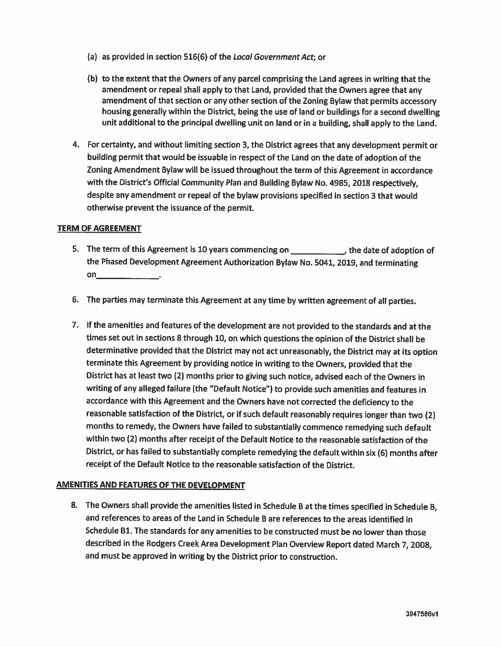- (a) as provided in section 516(6) of the Local Government Act; or
- (b) to the extent that the Owners of any parcel comprising the Land agrees in writing that the amendment or repeal shall apply to that Land, provided that the Owners agree that any amendment of that section or any other section of the Zoning Bylaw that permits accessory housing generally within the District, being the use of land or buildings for <sup>a</sup> second dwelling unit additional to the principal dwelling unit on land or in <sup>a</sup> building, shall apply to the Land.
- 4. For certainty, and without limiting section 3, the District agrees that any development permit or building permit that would be issuable in respect of the Land on the date of adoption of the Zoning Amendment Bylaw will be issued throughout the term of this Agreement in accordance with the District's Official Community Plan and Building Bylaw No.4985, <sup>2018</sup> respectively, despite any amendment or repeal of the bylaw provisions specified in section 3 that would otherwise prevent the issuance of the permit.

#### TERM OF AGREEMENT

- 5. The term of this Agreement is <sup>10</sup> years commencing on the date of adoption of the Phased Development Agreement Authorization Bylaw No. 5041, 2019, and terminating  $on$
- 6. The parties may terminate this Agreement at any time by written agreement of all parties.
- 7. If the amenities and features of the development are not provided to the standards and at the times set out in sections <sup>8</sup> through 10, on which questions the opinion of the District shall be determinative provided that the District may not act unreasonably, the District may at its option terminate this Agreement by providing notice in writing to the Owners, provided that the District has at least two (2) months prior to <sup>g</sup>iving such notice, advised each of the Owners in writing of any alleged failure (the "Default Notice") to provide such amenities and features in accordance with this Agreement and the Owners have not corrected the deficiency to the reasonable satisfaction of the District, or if such default reasonably requires longer than two (2) months to remedy, the Owners have failed to substantially commence remedying such default within two (2) months after receipt of the Default Notice to the reasonable satisfaction of the District, or has failed to substantially complete remedying the default within six (6) months after receipt of the Default Notice to the reasonable satisfaction of the District.

#### AMENITIES AND FEATURES OF THE DEVELOPMENT

8. The Owners shall provide the amenities listed in Schedule <sup>B</sup> at the times specified in Schedule B, and references to areas of the Land in Schedule B are references to the areas identified in Schedule B1. The standards for any amenities to be constructed must be no lower than those described in the Rodgers Creek Area Development Plan Overview Report dated March 7, 2008, and must be approved in writing by the District prior to construction.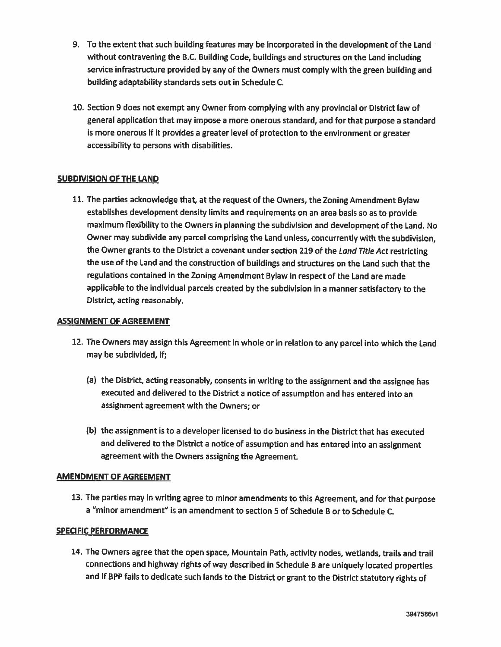- 9. To the extent that such building features may be incorporated in the development of the Land without contravening the B.C. Building Code, buildings and structures on the Land including service infrastructure provided by any of the Owners must comply with the green building and building adaptability standards sets out in Schedule C.
- 10. Section <sup>9</sup> does not exempt any Owner from complying with any provincial or District law of general application that may impose <sup>a</sup> more onerous standard, and for that purpose <sup>a</sup> standard is more onerous if it provides <sup>a</sup> greater level of protection to the environment or greater accessibility to persons with disabilities.

#### SUBDIVISION OF ThE LAND

11. The parties acknowledge that, at the request of the Owners, the Zoning Amendment Bylaw establishes development density limits and requirements on an area basis so as to provide maximum flexibility to the Owners in <sup>p</sup>lanning the subdivision and development of the Land. No Owner may subdivide any parcel comprising the Land unless, concurrently with the subdivision, the Owner grants to the District a covenant under section 219 of the Land Title Act restricting the use of the Land and the construction of buildings and structures on the Land such that the regulations contained in the Zoning Amendment Bylaw in respect of the Land are made applicable to the individual parcels created by the subdivision in <sup>a</sup> manner satisfactory to the District, acting reasonably.

#### ASSIGNMENT OF AGREEMENT

- 12. The Owners may assign this Agreement in whole or in relation to any parcel into which the Land may be subdivided, if;
	- (a) the District, acting reasonably, consents in writing to the assignment and the assignee has executed and delivered to the District <sup>a</sup> notice of assumption and has entered into an assignment agreement with the Owners; or
	- (b) the assignment is to <sup>a</sup> developer licensed to do business in the District that has executed and delivered to the District <sup>a</sup> notice of assumption and has entered into an assignment agreement with the Owners assigning the Agreement.

#### AMENDMENT OF AGREEMENT

13. The parties may in writing agree to minor amendments to this Agreement, and for that purpose <sup>a</sup> "minor amendment" is an amendment to section 5 of Schedule B or to Schedule C.

#### SPECIFIC PERFORMANCE

14. The Owners agree that the open space, Mountain Path, activity nodes, wetlands, trails and trail connections and highway rights of way described in Schedule <sup>B</sup> are uniquely located properties and if BPP fails to dedicate such lands to the District or grant to the District statutory rights of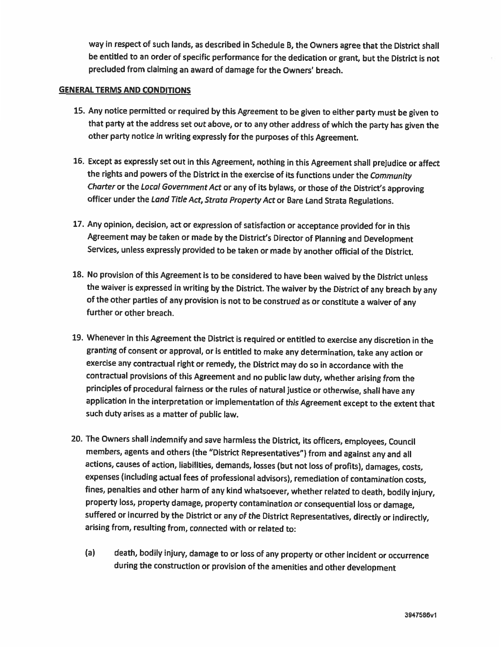way in respect of such lands, as described in Schedule B, the Owners agree that the District shall be entitled to an order of specific performance for the dedication or grant, but the District is not precluded from claiming an award of damage for the Owners' breach.

#### GENERAL TERMS AND CONDITIONS

- 15. Any notice permitted or required by this Agreement to be <sup>g</sup>iven to either party must be <sup>g</sup>iven to that party at the address set out above, or to any other address of which the party has <sup>g</sup>iven the other party notice in writing expressly for the purposes of this Agreement.
- 16. Except as expressly set out in this Agreement, nothing in this Agreement shall prejudice or affect the rights and powers of the District in the exercise of its functions under the Community Charter or the Local Government Act or any of its bylaws, or those of the District's approving officer under the Land Title Act, Strata Property Act or Bare Land Strata Regulations.
- 17. Any opinion, decision, act or expression of satisfaction or acceptance provided for in this Agreement may be taken or made by the District's Director of Planning and Development Services, unless expressly provided to be taken or made by another official of the District.
- 18. No provision of this Agreement is to be considered to have been waived by the District unless the waiver is expressed in writing by the District. The waiver by the District of any breach by any of the other parties of any provision is not to be construed as or constitute <sup>a</sup> waiver of any further or other breach.
- 19. Whenever in this Agreement the District is required or entitled to exercise any discretion in the granting of consent or approval, or is entitled to make any determination, take any action or exercise any contractual right or remedy, the District may do so in accordance with the contractual provisions of this Agreement and no public law duty, whether arising from the principles of procedural fairness or the rules of natural justice or otherwise, shall have any application in the interpretation or implementation of this Agreement except to the extent that such duty arises as <sup>a</sup> matter of public law.
- 20. The Owners shall indemnify and save harmless the District, its officers, employees, Council members, agents and others (the "District Representatives") from and against any and all actions, causes of action, liabilities, demands, losses (but not loss of profits), damages, costs, expenses (including actual fees of professional advisors), remediation of contamination costs, fines, penalties and other harm of any kind whatsoever, whether related to death, bodily injury, property loss, property damage, property contamination or consequential loss or damage, suffered or incurred by the District or any of the District Representatives, directly or indirectly, arising from, resulting from, connected with or related to:
	- (a) death, bodily injury, damage to or loss of any property or other incident or occurrence during the construction or provision of the amenities and other development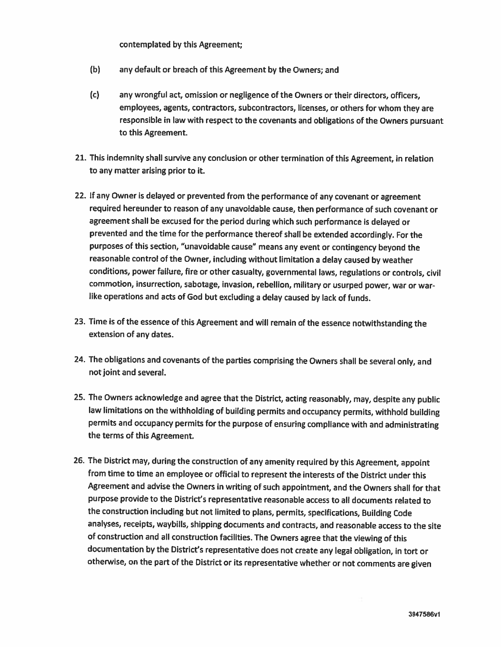#### contemplated by this Agreement;

- (b) any default or breach of this Agreement by the Owners; and
- Cc) any wrongful act, omission or negligence of the Owners or their directors, officers, employees, agents, contractors, subcontractors, licenses, or others for whom they are responsible in law with respect to the covenants and obligations of the Owners pursuant to this Agreement.
- 21. This indemnity shall survive any conclusion or other termination of this Agreement, in relation to any matter arising prior to it.
- 22. If any Owner is delayed or prevented from the performance of any covenant or agreement required hereunder to reason of any unavoidable cause, then performance of such covenant or agreement shall be excused for the period during which such performance is delayed or prevented and the time for the performance thereof shall be extended accordingly. For the purposes of this section, "unavoidable cause" means any event or contingency beyond the reasonable control of the Owner, including without limitation <sup>a</sup> delay caused by weather conditions, power failure, fire or other casualty, governmental laws, regulations or controls, civil commotion, insurrection, sabotage, invasion, rebellion, military or usurped power, war or war like operations and acts of God but excluding <sup>a</sup> delay caused by lack of funds.
- 23. Time is of the essence of this Agreement and will remain of the essence notwithstanding the extension of any dates.
- 24. The obligations and covenants of the parties comprising the Owners shall be several only, and not joint and several.
- 25. The Owners acknowledge and agree that the District, acting reasonably, may, despite any public law limitations on the withholding of building permits and occupancy permits, withhold building permits and occupancy permits for the purpose of ensuring compliance with and administrating the terms of this Agreement.
- 26. The District may, during the construction of any amenity required by this Agreement, appoint from time to time an employee or official to represent the interests of the District under this Agreement and advise the Owners in writing of such appointment, and the Owners shall for that purpose provide to the District's representative reasonable access to all documents related to the construction including but not limited to <sup>p</sup>lans, permits, specifications, Building Code analyses, receipts, waybills, shipping documents and contracts, and reasonable access to the site of construction and all construction facilities. The Owners agree that the viewing of this documentation by the District's representative does not create any legal obligation, in tort or otherwise, on the part of the District or its representative whether or not comments are <sup>g</sup>iven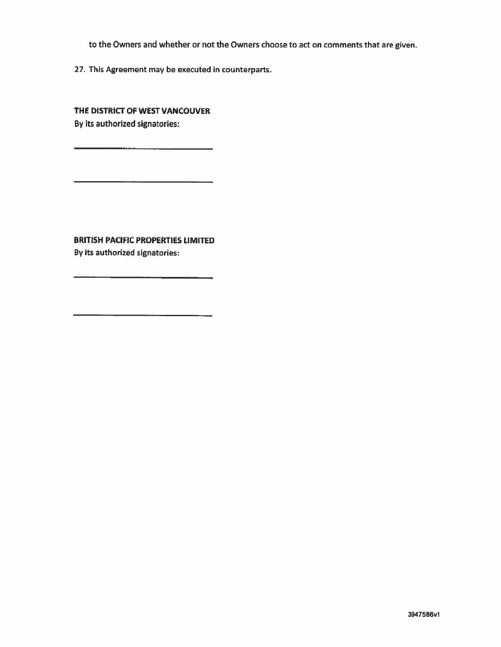to the Owners and whether or not the Owners choose to act on comments that are <sup>g</sup>iven.

27. This Agreement may be executed in counterparts.

THE DISTRICT OF WEST VANCOUVER By its authorized signatories:

BRITISH PACIFIC PROPERTIES LIMITED By its authorized signatories: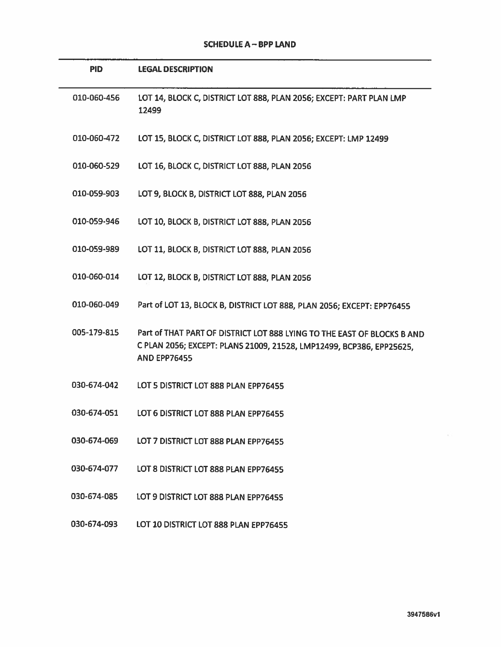| <b>SCHEDULE A – BPP LAND</b> |  |  |  |
|------------------------------|--|--|--|
|------------------------------|--|--|--|

| <b>PID</b>  | <b>LEGAL DESCRIPTION</b>                                                                                                                                               |
|-------------|------------------------------------------------------------------------------------------------------------------------------------------------------------------------|
| 010-060-456 | LOT 14, BLOCK C, DISTRICT LOT 888, PLAN 2056; EXCEPT: PART PLAN LMP<br>12499                                                                                           |
| 010-060-472 | LOT 15, BLOCK C, DISTRICT LOT 888, PLAN 2056; EXCEPT: LMP 12499                                                                                                        |
| 010-060-529 | LOT 16, BLOCK C, DISTRICT LOT 888, PLAN 2056                                                                                                                           |
| 010-059-903 | LOT 9, BLOCK B, DISTRICT LOT 888, PLAN 2056                                                                                                                            |
| 010-059-946 | LOT 10, BLOCK B, DISTRICT LOT 888, PLAN 2056                                                                                                                           |
| 010-059-989 | LOT 11, BLOCK B, DISTRICT LOT 888, PLAN 2056                                                                                                                           |
| 010-060-014 | LOT 12, BLOCK B, DISTRICT LOT 888, PLAN 2056                                                                                                                           |
| 010-060-049 | Part of LOT 13, BLOCK B, DISTRICT LOT 888, PLAN 2056; EXCEPT: EPP76455                                                                                                 |
| 005-179-815 | Part of THAT PART OF DISTRICT LOT 888 LYING TO THE EAST OF BLOCKS B AND<br>C PLAN 2056; EXCEPT: PLANS 21009, 21528, LMP12499, BCP386, EPP25625,<br><b>AND EPP76455</b> |
| 030-674-042 | LOT 5 DISTRICT LOT 888 PLAN EPP76455                                                                                                                                   |
| 030-674-051 | LOT 6 DISTRICT LOT 888 PLAN EPP76455                                                                                                                                   |
| 030-674-069 | LOT 7 DISTRICT LOT 888 PLAN EPP76455                                                                                                                                   |
| 030-674-077 | LOT 8 DISTRICT LOT 888 PLAN EPP76455                                                                                                                                   |
| 030-674-085 | LOT 9 DISTRICT LOT 888 PLAN EPP76455                                                                                                                                   |
| 030-674-093 | LOT 10 DISTRICT LOT 888 PLAN EPP76455                                                                                                                                  |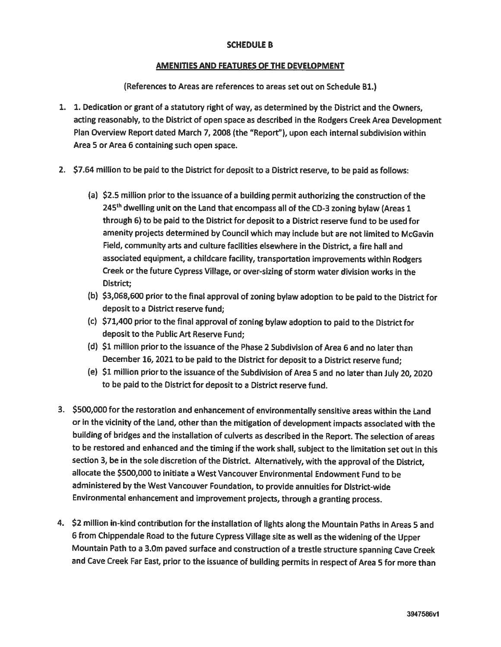#### SCHEDULE B

#### AMENITIES AND FEATURES OF THE DEVELOPMENT

(References to Areas are references to areas set out on Schedule Bi.)

- 1. 1. Dedication or grant of <sup>a</sup> statutory right of way, as determined by the District and the Owners, acting reasonably, to the District of open space as described in the Rodgers Creek Area Development Plan Overview Report dated March 7, 2008 (the "Report"), upon each internal subdivision within Area 5 or Area 6 containing such open space.
- 2. \$7.64 million to be paid to the District for deposit to <sup>a</sup> District reserve, to be paid as follows:
	- (a) \$2.5 million prior to the issuance of <sup>a</sup> building permit authorizing the construction of the 245<sup>th</sup> dwelling unit on the Land that encompass all of the CD-3 zoning bylaw (Areas 1 through 6) to be paid to the District for deposit to <sup>a</sup> District reserve fund to be used for amenity projects determined by Council which may include but are not limited to McGavin Field, community arts and culture facilities elsewhere in the District, a fire hall and associated equipment, a childcare facility, transportation improvements within Rodgers Creek or the future Cypress Village, or over-sizing of storm water division works in the District;
	- (b) \$3,068,600 prior to the final approval of zoning bylaw adoption to be paid to the District for deposit to <sup>a</sup> District reserve fund;
	- (c) \$71,400 prior to the final approval of zoning bylaw adoption to paid to the District for deposit to the Public Art Reserve Fund;
	- (d) \$1 million prior to the issuance of the Phase 2 Subdivision of Area <sup>6</sup> and no later than December 16, <sup>2021</sup> to be paid to the District for deposit to <sup>a</sup> District reserve fund;
	- (e) \$1 million prior to the issuance of the Subdivision of Area Sand no later than July 20, <sup>2020</sup> to be paid to the District for deposit to <sup>a</sup> District reserve fund.
- 3. \$500,000 for the restoration and enhancement of environmentally sensitive areas within the Land or in the vicinity of the Land, other than the mitigation of development impacts associated with the building of bridges and the installation of culverts as described in the Report. The selection of areas to be restored and enhanced and the timing if the work shall, subject to the limitation set out in this section 3, be in the sole discretion of the District. Alternatively, with the approval of the District, allocate the \$500,000 to initiate <sup>a</sup> West Vancouver Environmental Endowment Fund to be administered by the West Vancouver Foundation, to provide annuities for District-wide Environmental enhancement and improvement projects, through <sup>a</sup> granting process.
- 4. \$2 million in-kind contribution for the installation of lights along the Mountain Paths in Areas Sand <sup>6</sup> from Chippendale Road to the future Cypress Village site as well as the widening of the Upper Mountain Path to <sup>a</sup> 3.Om paved surface and construction of <sup>a</sup> trestle structure spanning Cave Creek and Cave Creek Far East, prior to the issuance of building permits in respect of Area <sup>S</sup> for more than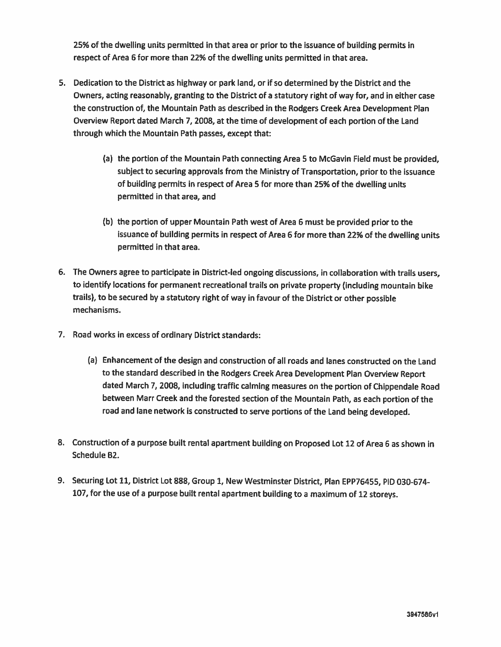25% of the dwelling units permitted in that area or prior to the issuance of building permits in respect of Area <sup>6</sup> for more than 22% of the dwelling units permitted in that area.

- 5. Dedication to the District as highway or park land, or if so determined by the District and the Owners, acting reasonably, granting to the District of <sup>a</sup> statutory right of way for, and in either case the construction of, the Mountain Path as described in the Rodgers Creek Area Development Plan Overview Report dated March 7, 2008, at the time of development of each portion of the Land through which the Mountain Path passes, except that:
	- (a) the portion of the Mountain Path connecting Area S to McGavin Field must be provided, subject to securing approvals from the Ministry of Transportation, prior to the issuance of building permits in respect of Area <sup>S</sup> for more than 25% of the dwelling units permitted in that area, and
	- (b) the portion of upper Mountain Path west of Area <sup>6</sup> must be provided prior to the issuance of building permits in respect of Area <sup>6</sup> for more than 22% of the dwelling units permitted in that area.
- 6. The Owners agree to participate in District-led ongoing discussions, in collaboration with trails users, to identify locations for permanent recreational trails on private property (including mountain bike trails), to be secured by <sup>a</sup> statutory right of way in favour of the District or other possible mechanisms.
- 7. Road works in excess of ordinary District standards:
	- (a) Enhancement of the design and construction of all roads and lanes constructed on the Land to the standard described in the Rodgers Creek Area Development Plan Overview Report dated March 7, 2008, including traffic calming measures on the portion of Chippendale Road between Marr Creek and the forested section of the Mountain Path, as each portion of the road and lane network is constructed to serve portions of the Land being developed.
- 8. Construction of <sup>a</sup> purpose built rental apartment building on Proposed Lot <sup>12</sup> of Area <sup>6</sup> as shown in Schedule B2.
- 9. Securing Lot 11, District Lot 888, Group 1, New Westminster District, Plan EPP76455, PID 030-674-107, for the use of <sup>a</sup> purpose built rental apartment building to <sup>a</sup> maximum of <sup>12</sup> storeys.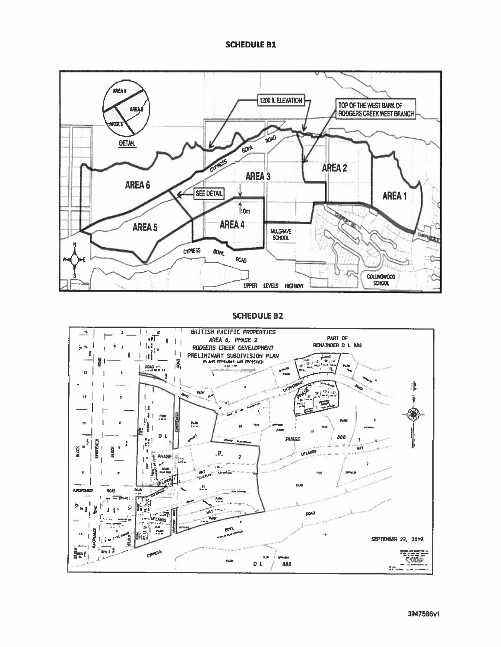#### SCHEDULE B1



#### SCHEDULE B2

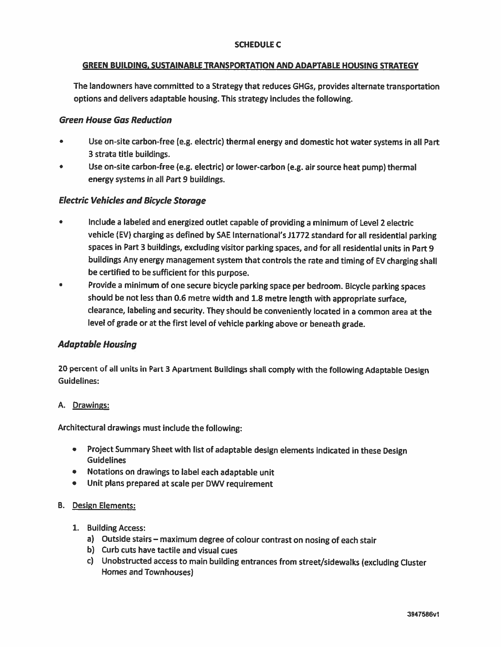#### SCHEDULE C

#### GREEN BUILDING. SUSTAINABLE TRANSPORTATION AND ADAPTABLE HOUSING STRATEGY

The landowners have committed to <sup>a</sup> Strategy that reduces GHGs, provides alternate transportation options and delivers adaptable housing. This strategy includes the following.

#### Green House Gas Reduction

- Use on-site carbon-free (e.g. electric) thermal energy and domestic hot water systems in all Part 3 strata title buildings.
- Use on-site carbon-free (e.g. electric) or lower-carbon (e.g. air source heat pump) thermal energy systems in all Part 9 buildings.

#### Electric Vehicles and Bicycle Storage

- Include <sup>a</sup> labeled and energized outlet capable of providing <sup>a</sup> minimum of Level 2 electric vehicle (EV) charging as defined by SAE International's J1772 standard for all residential parking spaces in Part 3 buildings, excluding visitor parking spaces, and for all residential units in Part 9 buildings Any energy managemen<sup>t</sup> system that controls the rate and timing of EV charging shall be certified to be sufficient for this purpose.
- Provide <sup>a</sup> minimum of one secure bicycle parking space per bedroom. Bicycle parking spaces should be not less than 0.6 metre width and 1.8 metre length with appropriate surface, clearance, labeling and security. They should be conveniently located in <sup>a</sup> common area at the level of grade or at the first level of vehicle parking above or beneath grade.

#### Adaptable Housing

<sup>20</sup> percen<sup>t</sup> of all units in Part <sup>3</sup> Apartment Buildings shall comply with the following Adaptable Design Guidelines:

#### A. Drawings:

Architectural drawings must include the following:

- Project Summary Sheet with list of adaptable design elements indicated in these Design **Guidelines**
- Notations on drawings to label each adaptable unit
- Unit <sup>p</sup>lans prepare<sup>d</sup> at scale per DWV requirement

#### B. Design Elements:

- 1. Building Access:
	- a) Outside stairs maximum degree of colour contrast on nosing of each stair
	- b) Curb cuts have tactile and visual cues
	- c) Unobstructed access to main building entrances from street/sidewalks (excluding Cluster Homes and Townhouses)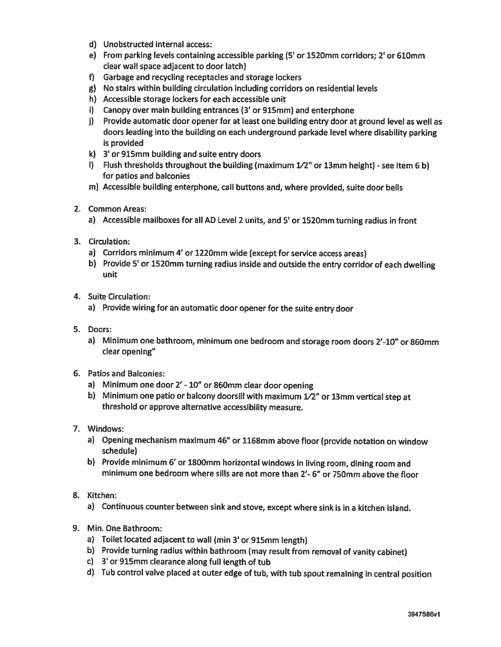- d) Unobstructed internal access:
- e) From parking levels containing accessible parking (5' or 1520mm corridors; 2' or 610mm clear wall space adjacent to door latch)
- f) Garbage and recycling receptacles and storage lockers
- g) No stairs within building circulation including corridors on residential levels
- h) Accessible storage lockers for each accessible unit
- i) Canopy over main building entrances (3' or 915mm) and enterphone
- j) Provide automatic door opener for at least one building entry door at ground level as well as doors leading into the building on each underground parkade level where disability parking is provided
- k) 3' or 915mm building and suite entry doors
- I) Flush thresholds throughout the building (maximum  $1/2$ " or 13mm height) see item 6 b) for patios and balconies
- m) Acces5ible building enterphone, call buttons and, where provided, suite door bells
- 2. Common Areas:
	- a) Accessible mailboxes for all AD Level <sup>2</sup> units, and 5' or 1520mm turning radius in front
- 3. Circulation:
	- a) Corridors minimum 4' or 1220mm wide (except for service access areas)
	- b) Provide 5' or 1520mm turning radius inside and outside the entry corridor of each dwelling unit
- 4. Suite Circulation:
	- a) Provide wiring for an automatic door opener for the suite entry door
- 5. Doors:
	- a) Minimum one bathroom, minimum one bedroom and storage room doors 2'-lO" or 860mm clear opening"
- 6. Patios and Balconies:
	- a) Minimum one door 2'- 10" or 860mm clear door opening
	- b) Minimum one patio or balcony doorsill with maximum  $1/2$ " or 13mm vertical step at threshold or approve alternative accessibility measure.
- 7. Windows:
	- a) Opening mechanism maximum 46" or 1168mm above floor (provide notation on window schedule)
	- b) Provide minimum 6' or 1800mm horizontal windows in living room, dining room and minimum one bedroom where sills are not more than 2'- 6" or 750mm above the floor
- 8. Kitchen:
	- a) Continuous counter between sink and stove, except where sink is in <sup>a</sup> kitchen island.
- 9. Min. One Bathroom:
	- a) Toilet located adjacent to wall (min 3' or 915mm length)
	- b) Provide turning radius within bathroom (may result from removal of vanity cabinet)
	- c) 3' or 915mm clearance along full length of tub
	- d) Tub control valve <sup>p</sup>laced at outer edge of tub, with tub spout remaining in central position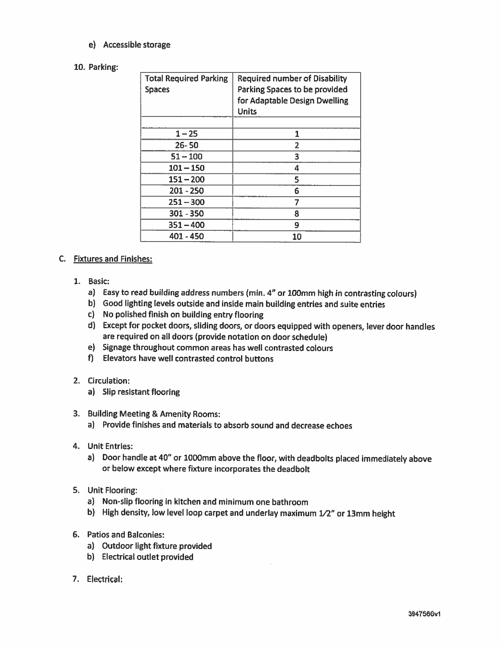e) Accessible storage

#### 10. Parking:

| <b>Total Required Parking</b><br><b>Spaces</b> | <b>Required number of Disability</b><br>Parking Spaces to be provided<br>for Adaptable Design Dwelling<br><b>Units</b> |
|------------------------------------------------|------------------------------------------------------------------------------------------------------------------------|
| $1 - 25$                                       | 1                                                                                                                      |
| $26 - 50$                                      | 2                                                                                                                      |
| $51 - 100$                                     | 3                                                                                                                      |
| $101 - 150$                                    | 4                                                                                                                      |
| $151 - 200$                                    | 5                                                                                                                      |
| $201 - 250$                                    | 6                                                                                                                      |
| $251 - 300$                                    | 7                                                                                                                      |
| $301 - 350$                                    | 8                                                                                                                      |
| $351 - 400$                                    | 9                                                                                                                      |
| 401 - 450                                      | 10                                                                                                                     |

#### C. Fixtures and Finishes:

- 1. Basic:
	- a) Easy to read building address numbers (min. 4" or 100mm high in contrasting colours)
	- b) Good lighting levels outside and inside main building entries and suite entries
	- c) No polished finish on building entry flooring
	- d) Except for pocket doors, sliding doors, or doors equipped with openers, lever door handles are required on all doors (provide notation on door schedule)
	- e) Signage throughout common areas has well contrasted colours
	- f) Elevators have well contrasted control buttons
- 2. Circulation:
	- a) Slip resistant flooring
- 3. Building Meeting & Amenity Rooms:
	- a) Provide finishes and materials to absorb sound and decrease echoes
- 4. Unit Entries:
	- a) Door handle at 40" or 1000mm above the floor, with deadbolts <sup>p</sup>laced immediately above or below except where fixture incorporates the deadbolt
- 5. Unit Flooring:
	- a) Non-slip flooring in kitchen and minimum one bathroom
	- b) High density, low level loop carpet and underlay maximum  $1/2$ " or 13mm height
- 6. Patios and Balconies:
	- a) Outdoor light fixture provided
	- b) Electrical outlet provided
- 7. Electrical: